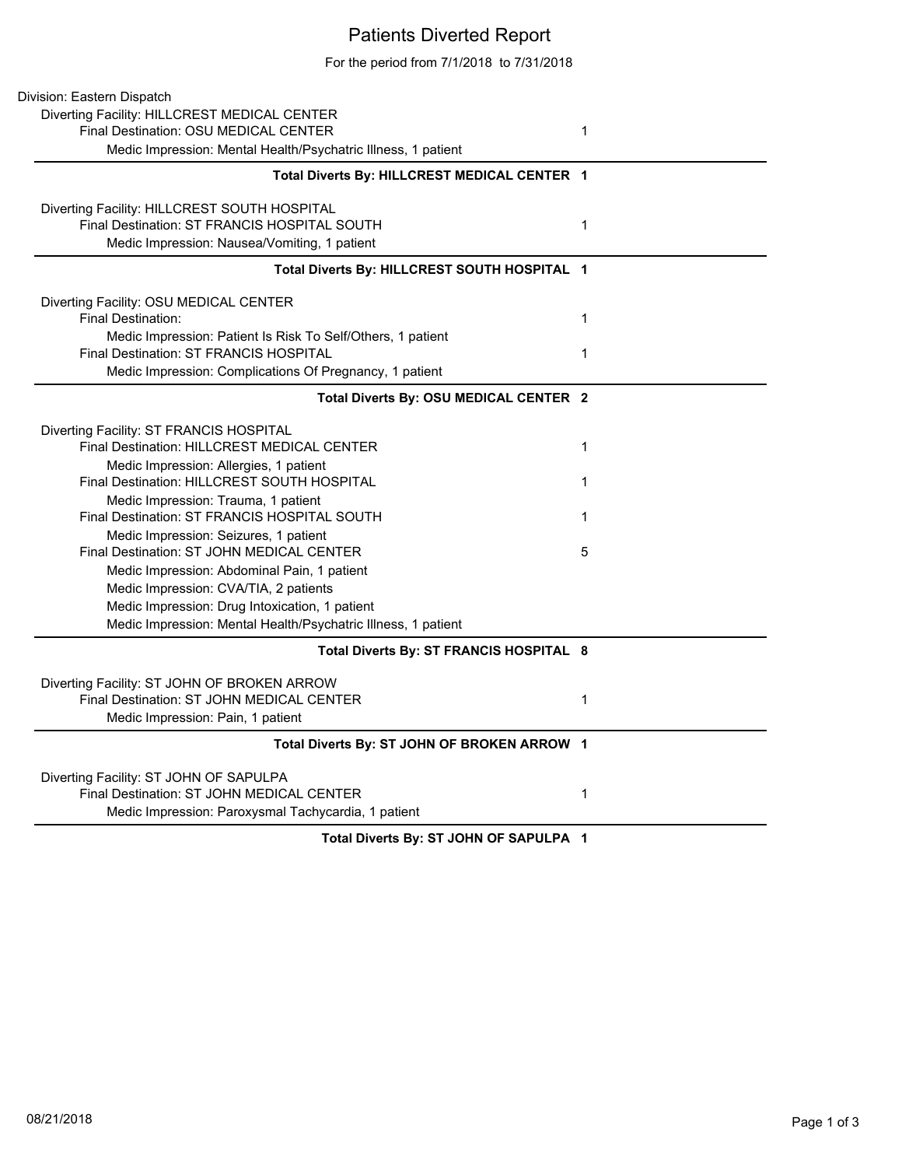## Patients Diverted Report

For the period from 7/1/2018 to 7/31/2018

| Division: Eastern Dispatch                                    |              |
|---------------------------------------------------------------|--------------|
| Diverting Facility: HILLCREST MEDICAL CENTER                  |              |
| Final Destination: OSU MEDICAL CENTER                         | 1            |
| Medic Impression: Mental Health/Psychatric Illness, 1 patient |              |
| Total Diverts By: HILLCREST MEDICAL CENTER 1                  |              |
| Diverting Facility: HILLCREST SOUTH HOSPITAL                  |              |
| Final Destination: ST FRANCIS HOSPITAL SOUTH                  | $\mathbf{1}$ |
| Medic Impression: Nausea/Vomiting, 1 patient                  |              |
| Total Diverts By: HILLCREST SOUTH HOSPITAL 1                  |              |
| Diverting Facility: OSU MEDICAL CENTER                        |              |
| Final Destination:                                            | $\mathbf{1}$ |
| Medic Impression: Patient Is Risk To Self/Others, 1 patient   |              |
| <b>Final Destination: ST FRANCIS HOSPITAL</b>                 | 1            |
| Medic Impression: Complications Of Pregnancy, 1 patient       |              |
| Total Diverts By: OSU MEDICAL CENTER 2                        |              |
| Diverting Facility: ST FRANCIS HOSPITAL                       |              |
| Final Destination: HILLCREST MEDICAL CENTER                   | 1            |
| Medic Impression: Allergies, 1 patient                        |              |
| Final Destination: HILLCREST SOUTH HOSPITAL                   | 1            |
| Medic Impression: Trauma, 1 patient                           |              |
| Final Destination: ST FRANCIS HOSPITAL SOUTH                  | 1            |
| Medic Impression: Seizures, 1 patient                         |              |
| Final Destination: ST JOHN MEDICAL CENTER                     | 5            |
| Medic Impression: Abdominal Pain, 1 patient                   |              |
| Medic Impression: CVA/TIA, 2 patients                         |              |
| Medic Impression: Drug Intoxication, 1 patient                |              |
| Medic Impression: Mental Health/Psychatric Illness, 1 patient |              |
| Total Diverts By: ST FRANCIS HOSPITAL 8                       |              |
| Diverting Facility: ST JOHN OF BROKEN ARROW                   |              |
| Final Destination: ST JOHN MEDICAL CENTER                     | 1            |
| Medic Impression: Pain, 1 patient                             |              |
| Total Diverts By: ST JOHN OF BROKEN ARROW 1                   |              |
| Diverting Facility: ST JOHN OF SAPULPA                        |              |
| Final Destination: ST JOHN MEDICAL CENTER                     | 1            |
| Medic Impression: Paroxysmal Tachycardia, 1 patient           |              |
| Total Diverts By: ST JOHN OF SAPULPA 1                        |              |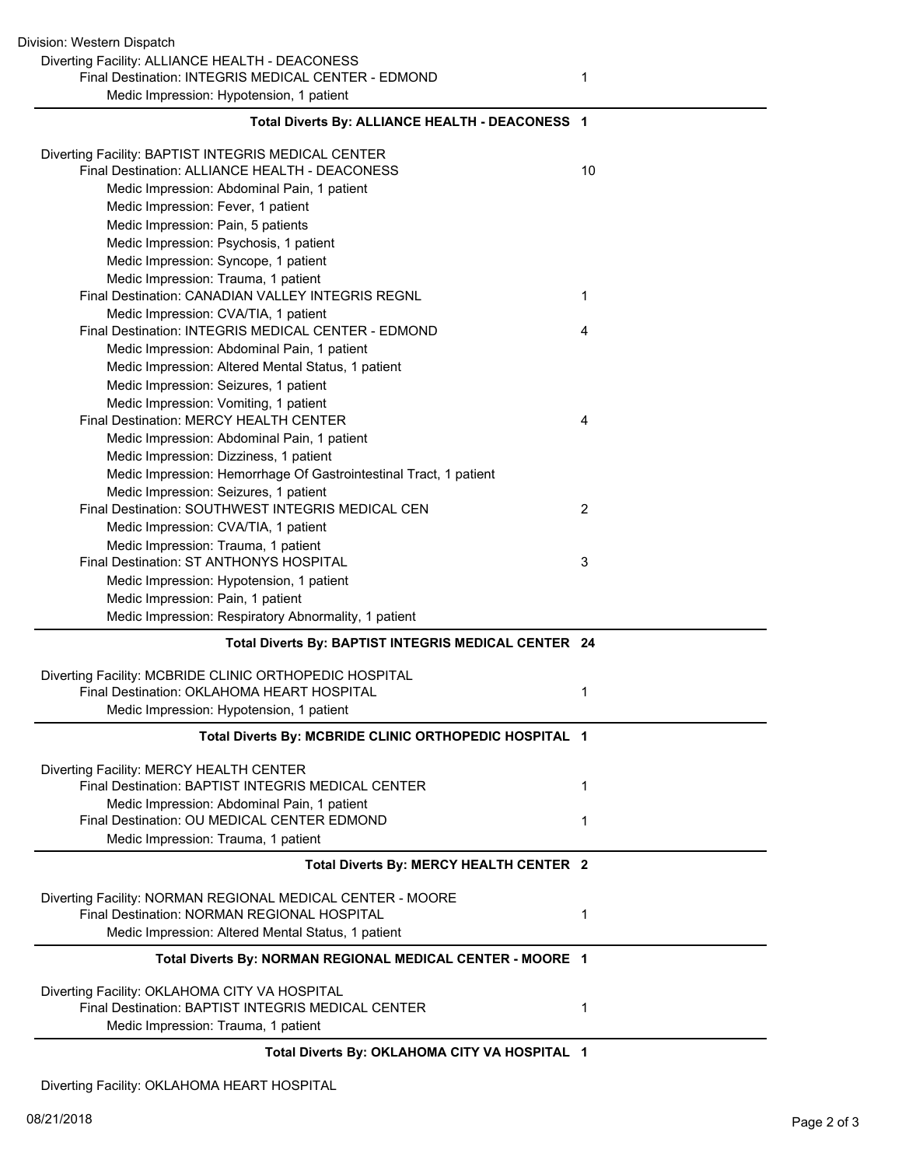| Diverting Facility: ALLIANCE HEALTH - DEACONESS<br>Final Destination: INTEGRIS MEDICAL CENTER - EDMOND           | 1  |
|------------------------------------------------------------------------------------------------------------------|----|
| Medic Impression: Hypotension, 1 patient                                                                         |    |
| Total Diverts By: ALLIANCE HEALTH - DEACONESS 1                                                                  |    |
| Diverting Facility: BAPTIST INTEGRIS MEDICAL CENTER                                                              |    |
| Final Destination: ALLIANCE HEALTH - DEACONESS                                                                   | 10 |
| Medic Impression: Abdominal Pain, 1 patient                                                                      |    |
| Medic Impression: Fever, 1 patient                                                                               |    |
| Medic Impression: Pain, 5 patients                                                                               |    |
| Medic Impression: Psychosis, 1 patient                                                                           |    |
| Medic Impression: Syncope, 1 patient                                                                             |    |
| Medic Impression: Trauma, 1 patient                                                                              |    |
| Final Destination: CANADIAN VALLEY INTEGRIS REGNL                                                                | 1  |
| Medic Impression: CVA/TIA, 1 patient                                                                             |    |
| Final Destination: INTEGRIS MEDICAL CENTER - EDMOND                                                              | 4  |
| Medic Impression: Abdominal Pain, 1 patient                                                                      |    |
| Medic Impression: Altered Mental Status, 1 patient                                                               |    |
| Medic Impression: Seizures, 1 patient                                                                            |    |
| Medic Impression: Vomiting, 1 patient                                                                            |    |
| Final Destination: MERCY HEALTH CENTER                                                                           | 4  |
| Medic Impression: Abdominal Pain, 1 patient                                                                      |    |
| Medic Impression: Dizziness, 1 patient                                                                           |    |
| Medic Impression: Hemorrhage Of Gastrointestinal Tract, 1 patient                                                |    |
| Medic Impression: Seizures, 1 patient                                                                            |    |
| Final Destination: SOUTHWEST INTEGRIS MEDICAL CEN                                                                | 2  |
| Medic Impression: CVA/TIA, 1 patient                                                                             |    |
| Medic Impression: Trauma, 1 patient                                                                              |    |
| Final Destination: ST ANTHONYS HOSPITAL                                                                          | 3  |
| Medic Impression: Hypotension, 1 patient                                                                         |    |
| Medic Impression: Pain, 1 patient                                                                                |    |
| Medic Impression: Respiratory Abnormality, 1 patient                                                             |    |
| Total Diverts By: BAPTIST INTEGRIS MEDICAL CENTER 24                                                             |    |
| Diverting Facility: MCBRIDE CLINIC ORTHOPEDIC HOSPITAL                                                           |    |
| Final Destination: OKLAHOMA HEART HOSPITAL                                                                       | 1  |
| Medic Impression: Hypotension, 1 patient                                                                         |    |
|                                                                                                                  |    |
| Total Diverts By: MCBRIDE CLINIC ORTHOPEDIC HOSPITAL 1                                                           |    |
|                                                                                                                  |    |
| Diverting Facility: MERCY HEALTH CENTER                                                                          |    |
| Final Destination: BAPTIST INTEGRIS MEDICAL CENTER                                                               | 1  |
| Medic Impression: Abdominal Pain, 1 patient<br>Final Destination: OU MEDICAL CENTER EDMOND                       | 1  |
| Medic Impression: Trauma, 1 patient                                                                              |    |
| Total Diverts By: MERCY HEALTH CENTER 2                                                                          |    |
|                                                                                                                  |    |
| Diverting Facility: NORMAN REGIONAL MEDICAL CENTER - MOORE                                                       |    |
| Final Destination: NORMAN REGIONAL HOSPITAL                                                                      | 1  |
| Medic Impression: Altered Mental Status, 1 patient<br>Total Diverts By: NORMAN REGIONAL MEDICAL CENTER - MOORE 1 |    |
|                                                                                                                  |    |
| Diverting Facility: OKLAHOMA CITY VA HOSPITAL                                                                    |    |
| Final Destination: BAPTIST INTEGRIS MEDICAL CENTER<br>Medic Impression: Trauma, 1 patient                        | 1  |

**Total Diverts By: OKLAHOMA CITY VA HOSPITAL 1**

Diverting Facility: OKLAHOMA HEART HOSPITAL

Division: Western Dispatch